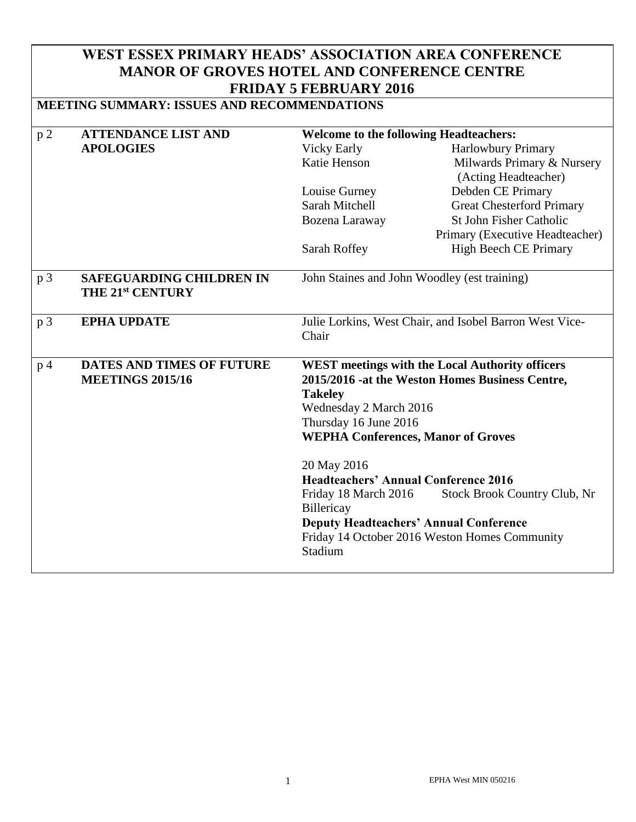# **WEST ESSEX PRIMARY HEADS' ASSOCIATION AREA CONFERENCE MANOR OF GROVES HOTEL AND CONFERENCE CENTRE FRIDAY 5 FEBRUARY 2016**

# **MEETING SUMMARY: ISSUES AND RECOMMENDATIONS**

| p <sub>2</sub> | <b>ATTENDANCE LIST AND</b>       | <b>Welcome to the following Headteachers:</b>                                                             |                                               |
|----------------|----------------------------------|-----------------------------------------------------------------------------------------------------------|-----------------------------------------------|
|                | <b>APOLOGIES</b>                 | <b>Vicky Early</b>                                                                                        | <b>Harlowbury Primary</b>                     |
|                |                                  | Katie Henson                                                                                              | Milwards Primary & Nursery                    |
|                |                                  |                                                                                                           | (Acting Headteacher)                          |
|                |                                  | Louise Gurney                                                                                             | Debden CE Primary                             |
|                |                                  | Sarah Mitchell                                                                                            | <b>Great Chesterford Primary</b>              |
|                |                                  | Bozena Laraway                                                                                            | St John Fisher Catholic                       |
|                |                                  |                                                                                                           | Primary (Executive Headteacher)               |
|                |                                  | Sarah Roffey                                                                                              | <b>High Beech CE Primary</b>                  |
| p <sub>3</sub> | <b>SAFEGUARDING CHILDREN IN</b>  | John Staines and John Woodley (est training)                                                              |                                               |
|                | THE 21st CENTURY                 |                                                                                                           |                                               |
|                |                                  |                                                                                                           |                                               |
| p <sub>3</sub> | <b>EPHA UPDATE</b>               | Julie Lorkins, West Chair, and Isobel Barron West Vice-                                                   |                                               |
|                |                                  | Chair                                                                                                     |                                               |
|                |                                  |                                                                                                           |                                               |
| p <sub>4</sub> | <b>DATES AND TIMES OF FUTURE</b> | <b>WEST meetings with the Local Authority officers</b><br>2015/2016 -at the Weston Homes Business Centre, |                                               |
|                | <b>MEETINGS 2015/16</b>          |                                                                                                           |                                               |
|                |                                  | <b>Takeley</b><br>Wednesday 2 March 2016                                                                  |                                               |
|                |                                  | Thursday 16 June 2016                                                                                     |                                               |
|                |                                  | <b>WEPHA Conferences, Manor of Groves</b>                                                                 |                                               |
|                |                                  |                                                                                                           |                                               |
|                |                                  | 20 May 2016                                                                                               |                                               |
|                |                                  | <b>Headteachers' Annual Conference 2016</b>                                                               |                                               |
|                |                                  | Friday 18 March 2016                                                                                      | <b>Stock Brook Country Club, Nr</b>           |
|                |                                  | Billericay                                                                                                |                                               |
|                |                                  |                                                                                                           | <b>Deputy Headteachers' Annual Conference</b> |
|                |                                  |                                                                                                           | Friday 14 October 2016 Weston Homes Community |
|                |                                  | Stadium                                                                                                   |                                               |
|                |                                  |                                                                                                           |                                               |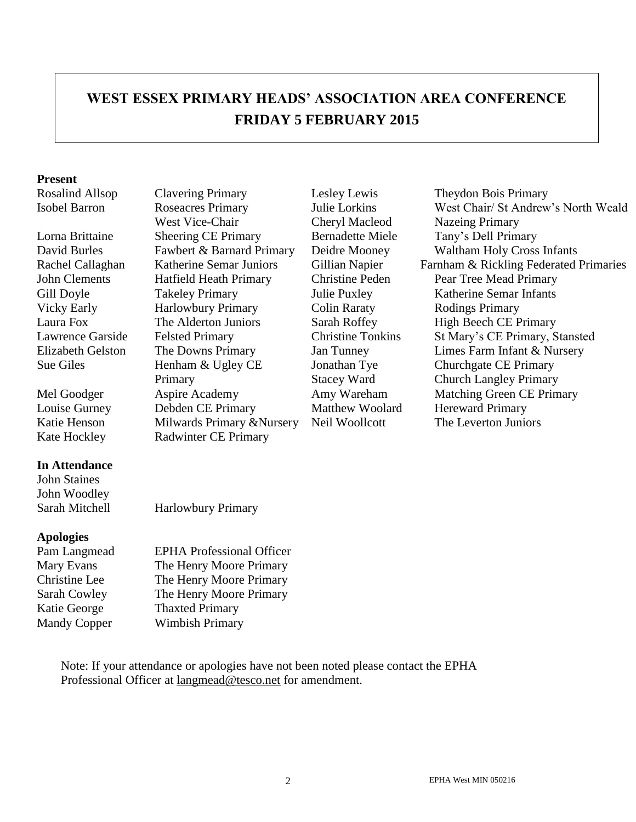# **WEST ESSEX PRIMARY HEADS' ASSOCIATION AREA CONFERENCE FRIDAY 5 FEBRUARY 2015**

#### **Present**

### **In Attendance**

John Staines John Woodley

### **Apologies**

Isobel Barron Roseacres Primary West Vice-Chair Lorna Brittaine Sheering CE Primary Bernadette Miele Tany's Dell Primary John Clements Hatfield Heath Primary Christine Peden Pear Tree Mead Primary Gill Doyle Takeley Primary Julie Puxley Katherine Semar Infants Vicky Early **Harlowbury Primary** Colin Raraty **Rodings Primary** Laura Fox The Alderton Juniors Sarah Roffey High Beech CE Primary Sue Giles Henham & Ugley CE Primary Louise Gurney Debden CE Primary Matthew Woolard Hereward Primary Katie Henson Milwards Primary &Nursery Neil Woollcott The Leverton Juniors Kate Hockley Radwinter CE Primary

Julie Lorkins Cheryl Macleod Jonathan Tye Stacey Ward

Rosalind Allsop Clavering Primary Lesley Lewis Theydon Bois Primary West Chair/ St Andrew's North Weald Nazeing Primary David Burles Fawbert & Barnard Primary Deidre Mooney Waltham Holy Cross Infants Rachel Callaghan Katherine Semar Juniors Gillian Napier Farnham & Rickling Federated Primaries Lawrence Garside Felsted Primary Christine Tonkins St Mary's CE Primary, Stansted Elizabeth Gelston The Downs Primary Jan Tunney Limes Farm Infant & Nursery Churchgate CE Primary Church Langley Primary Mel Goodger Aspire Academy Amy Wareham Matching Green CE Primary

Sarah Mitchell Harlowbury Primary

Pam Langmead EPHA Professional Officer Mary Evans The Henry Moore Primary Christine Lee The Henry Moore Primary Sarah Cowley The Henry Moore Primary Katie George Thaxted Primary Mandy Copper Wimbish Primary

Note: If your attendance or apologies have not been noted please contact the EPHA Professional Officer at [langmead@tesco.net](mailto:langmead@tesco.net) for amendment.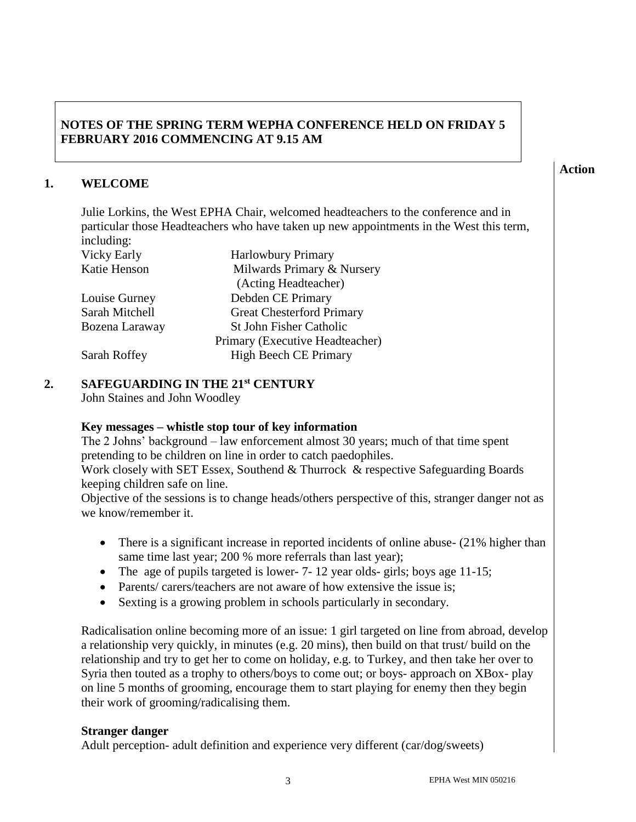## **NOTES OF THE SPRING TERM WEPHA CONFERENCE HELD ON FRIDAY 5 FEBRUARY 2016 COMMENCING AT 9.15 AM**

## **1. WELCOME**

Julie Lorkins, the West EPHA Chair, welcomed headteachers to the conference and in particular those Headteachers who have taken up new appointments in the West this term, including:

| Vicky Early<br>Katie Henson |  |
|-----------------------------|--|
| Louise Gurney               |  |

Harlowbury Primary Milwards Primary & Nursery (Acting Headteacher) Louise Gurney Debden CE Primary Sarah Mitchell Great Chesterford Primary Bozena Laraway St John Fisher Catholic Primary (Executive Headteacher) Sarah Roffey High Beech CE Primary

## **2. SAFEGUARDING IN THE 21st CENTURY**

John Staines and John Woodley

### **Key messages – whistle stop tour of key information**

The 2 Johns' background – law enforcement almost 30 years; much of that time spent pretending to be children on line in order to catch paedophiles.

Work closely with SET Essex, Southend & Thurrock & respective Safeguarding Boards keeping children safe on line.

Objective of the sessions is to change heads/others perspective of this, stranger danger not as we know/remember it.

- There is a significant increase in reported incidents of online abuse- (21% higher than same time last year; 200 % more referrals than last year);
- The age of pupils targeted is lower- 7- 12 year olds- girls; boys age 11-15;
- Parents/ carers/teachers are not aware of how extensive the issue is;
- Sexting is a growing problem in schools particularly in secondary.

Radicalisation online becoming more of an issue: 1 girl targeted on line from abroad, develop a relationship very quickly, in minutes (e.g. 20 mins), then build on that trust/ build on the relationship and try to get her to come on holiday, e.g. to Turkey, and then take her over to Syria then touted as a trophy to others/boys to come out; or boys- approach on XBox- play on line 5 months of grooming, encourage them to start playing for enemy then they begin their work of grooming/radicalising them.

### **Stranger danger**

Adult perception- adult definition and experience very different (car/dog/sweets)

**Action**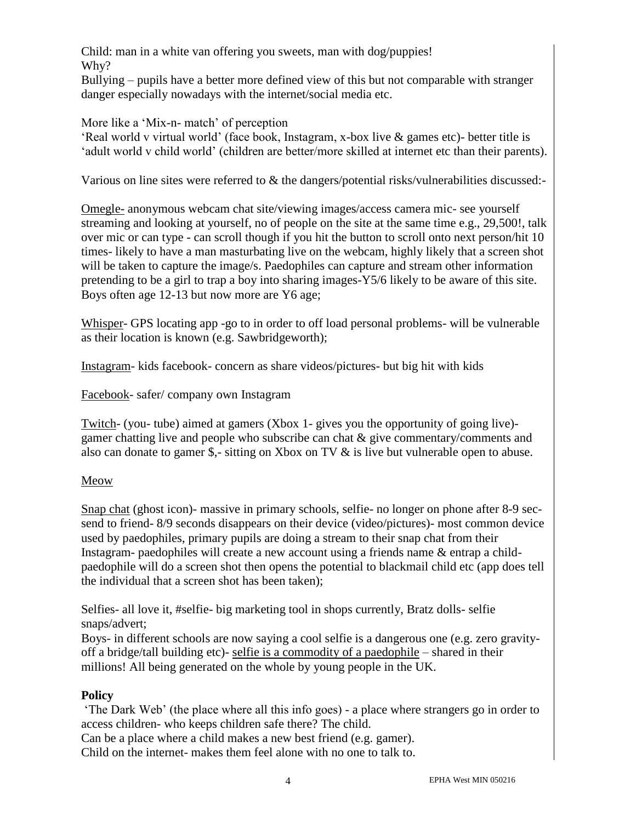Child: man in a white van offering you sweets, man with dog/puppies! Why?

Bullying – pupils have a better more defined view of this but not comparable with stranger danger especially nowadays with the internet/social media etc.

More like a 'Mix-n- match' of perception

'Real world v virtual world' (face book, Instagram, x-box live & games etc)- better title is 'adult world v child world' (children are better/more skilled at internet etc than their parents).

Various on line sites were referred to & the dangers/potential risks/vulnerabilities discussed:-

Omegle- anonymous webcam chat site/viewing images/access camera mic- see yourself streaming and looking at yourself, no of people on the site at the same time e.g., 29,500!, talk over mic or can type - can scroll though if you hit the button to scroll onto next person/hit 10 times- likely to have a man masturbating live on the webcam, highly likely that a screen shot will be taken to capture the image/s. Paedophiles can capture and stream other information pretending to be a girl to trap a boy into sharing images-Y5/6 likely to be aware of this site. Boys often age 12-13 but now more are Y6 age;

Whisper- GPS locating app -go to in order to off load personal problems- will be vulnerable as their location is known (e.g. Sawbridgeworth);

Instagram- kids facebook- concern as share videos/pictures- but big hit with kids

Facebook- safer/ company own Instagram

Twitch- (you- tube) aimed at gamers (Xbox 1- gives you the opportunity of going live) gamer chatting live and people who subscribe can chat & give commentary/comments and also can donate to gamer \$,- sitting on Xbox on TV & is live but vulnerable open to abuse.

## Meow

Snap chat (ghost icon)- massive in primary schools, selfie- no longer on phone after 8-9 secsend to friend- 8/9 seconds disappears on their device (video/pictures)- most common device used by paedophiles, primary pupils are doing a stream to their snap chat from their Instagram- paedophiles will create a new account using a friends name & entrap a childpaedophile will do a screen shot then opens the potential to blackmail child etc (app does tell the individual that a screen shot has been taken);

Selfies- all love it, #selfie- big marketing tool in shops currently, Bratz dolls- selfie snaps/advert;

Boys- in different schools are now saying a cool selfie is a dangerous one (e.g. zero gravityoff a bridge/tall building etc)- selfie is a commodity of a paedophile – shared in their millions! All being generated on the whole by young people in the UK.

# **Policy**

'The Dark Web' (the place where all this info goes) - a place where strangers go in order to access children- who keeps children safe there? The child.

Can be a place where a child makes a new best friend (e.g. gamer). Child on the internet- makes them feel alone with no one to talk to.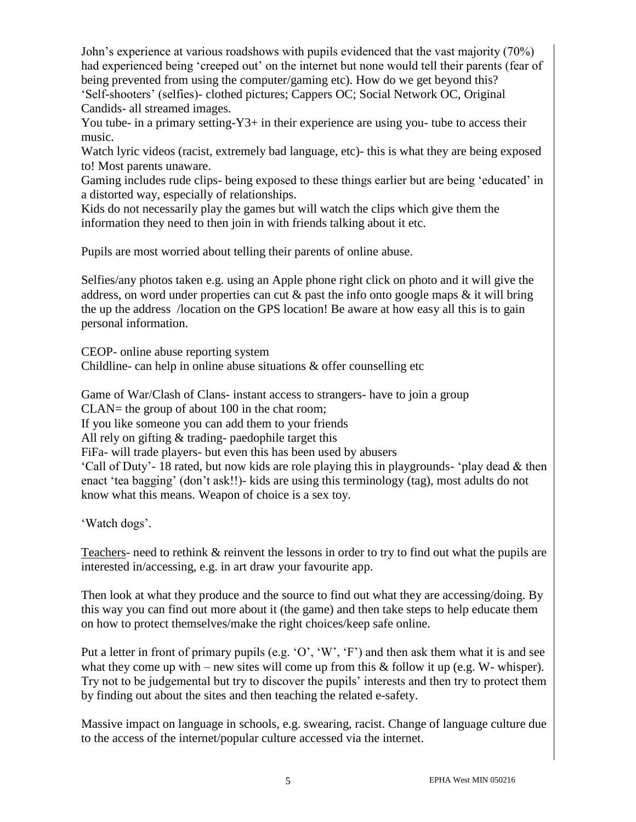John's experience at various roadshows with pupils evidenced that the vast majority (70%) had experienced being 'creeped out' on the internet but none would tell their parents (fear of being prevented from using the computer/gaming etc). How do we get beyond this? 'Self-shooters' (selfies)- clothed pictures; Cappers OC; Social Network OC, Original Candids- all streamed images.

You tube- in a primary setting-Y<sub>3</sub>+ in their experience are using you- tube to access their music.

Watch lyric videos (racist, extremely bad language, etc)- this is what they are being exposed to! Most parents unaware.

Gaming includes rude clips- being exposed to these things earlier but are being 'educated' in a distorted way, especially of relationships.

Kids do not necessarily play the games but will watch the clips which give them the information they need to then join in with friends talking about it etc.

Pupils are most worried about telling their parents of online abuse.

Selfies/any photos taken e.g. using an Apple phone right click on photo and it will give the address, on word under properties can cut  $\&$  past the info onto google maps  $\&$  it will bring the up the address /location on the GPS location! Be aware at how easy all this is to gain personal information.

CEOP- online abuse reporting system Childline- can help in online abuse situations  $\&$  offer counselling etc

Game of War/Clash of Clans- instant access to strangers- have to join a group CLAN= the group of about 100 in the chat room; If you like someone you can add them to your friends All rely on gifting & trading- paedophile target this FiFa- will trade players- but even this has been used by abusers 'Call of Duty'- 18 rated, but now kids are role playing this in playgrounds- 'play dead & then enact 'tea bagging' (don't ask!!)- kids are using this terminology (tag), most adults do not know what this means. Weapon of choice is a sex toy.

'Watch dogs'.

Teachers- need to rethink & reinvent the lessons in order to try to find out what the pupils are interested in/accessing, e.g. in art draw your favourite app.

Then look at what they produce and the source to find out what they are accessing/doing. By this way you can find out more about it (the game) and then take steps to help educate them on how to protect themselves/make the right choices/keep safe online.

Put a letter in front of primary pupils (e.g. 'O', 'W', 'F') and then ask them what it is and see what they come up with – new sites will come up from this  $&$  follow it up (e.g. W- whisper). Try not to be judgemental but try to discover the pupils' interests and then try to protect them by finding out about the sites and then teaching the related e-safety.

Massive impact on language in schools, e.g. swearing, racist. Change of language culture due to the access of the internet/popular culture accessed via the internet.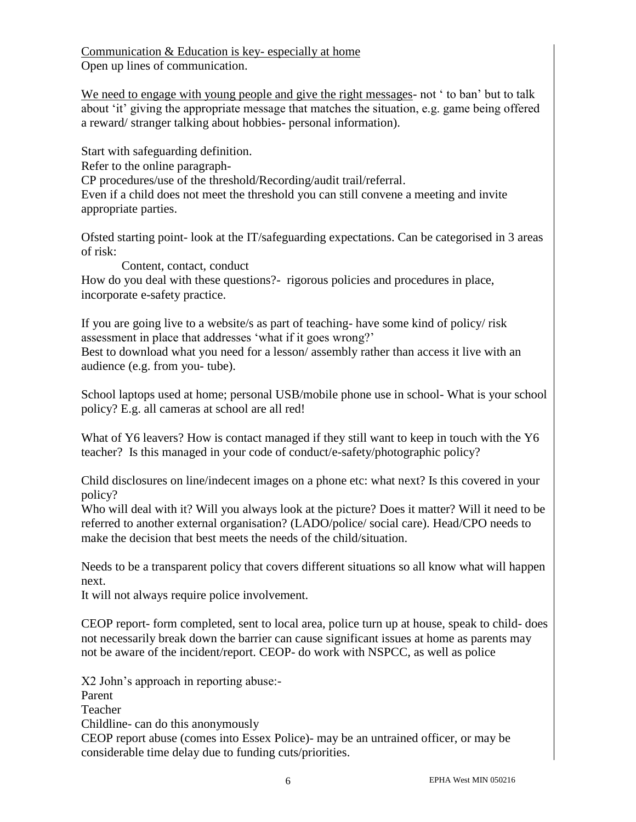Communication & Education is key- especially at home Open up lines of communication.

We need to engage with young people and give the right messages- not ' to ban' but to talk about 'it' giving the appropriate message that matches the situation, e.g. game being offered a reward/ stranger talking about hobbies- personal information).

Start with safeguarding definition. Refer to the online paragraph-CP procedures/use of the threshold/Recording/audit trail/referral. Even if a child does not meet the threshold you can still convene a meeting and invite appropriate parties.

Ofsted starting point- look at the IT/safeguarding expectations. Can be categorised in 3 areas of risk:

 Content, contact, conduct How do you deal with these questions?- rigorous policies and procedures in place, incorporate e-safety practice.

If you are going live to a website/s as part of teaching- have some kind of policy/ risk assessment in place that addresses 'what if it goes wrong?' Best to download what you need for a lesson/ assembly rather than access it live with an audience (e.g. from you- tube).

School laptops used at home; personal USB/mobile phone use in school- What is your school policy? E.g. all cameras at school are all red!

What of Y6 leavers? How is contact managed if they still want to keep in touch with the Y6 teacher? Is this managed in your code of conduct/e-safety/photographic policy?

Child disclosures on line/indecent images on a phone etc: what next? Is this covered in your policy?

Who will deal with it? Will you always look at the picture? Does it matter? Will it need to be referred to another external organisation? (LADO/police/ social care). Head/CPO needs to make the decision that best meets the needs of the child/situation.

Needs to be a transparent policy that covers different situations so all know what will happen next.

It will not always require police involvement.

CEOP report- form completed, sent to local area, police turn up at house, speak to child- does not necessarily break down the barrier can cause significant issues at home as parents may not be aware of the incident/report. CEOP- do work with NSPCC, as well as police

X2 John's approach in reporting abuse:-

Parent

Teacher

Childline- can do this anonymously

CEOP report abuse (comes into Essex Police)- may be an untrained officer, or may be considerable time delay due to funding cuts/priorities.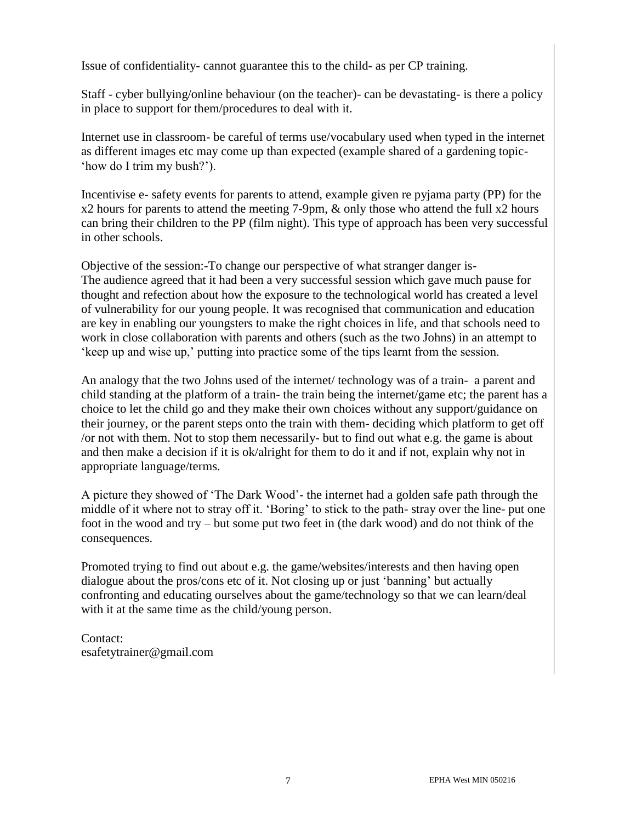Issue of confidentiality- cannot guarantee this to the child- as per CP training.

Staff - cyber bullying/online behaviour (on the teacher)- can be devastating- is there a policy in place to support for them/procedures to deal with it.

Internet use in classroom- be careful of terms use/vocabulary used when typed in the internet as different images etc may come up than expected (example shared of a gardening topic- 'how do I trim my bush?').

Incentivise e- safety events for parents to attend, example given re pyjama party (PP) for the x2 hours for parents to attend the meeting 7-9pm, & only those who attend the full x2 hours can bring their children to the PP (film night). This type of approach has been very successful in other schools.

Objective of the session:-To change our perspective of what stranger danger is-The audience agreed that it had been a very successful session which gave much pause for thought and refection about how the exposure to the technological world has created a level of vulnerability for our young people. It was recognised that communication and education are key in enabling our youngsters to make the right choices in life, and that schools need to work in close collaboration with parents and others (such as the two Johns) in an attempt to 'keep up and wise up,' putting into practice some of the tips learnt from the session.

An analogy that the two Johns used of the internet/ technology was of a train- a parent and child standing at the platform of a train- the train being the internet/game etc; the parent has a choice to let the child go and they make their own choices without any support/guidance on their journey, or the parent steps onto the train with them- deciding which platform to get off /or not with them. Not to stop them necessarily- but to find out what e.g. the game is about and then make a decision if it is ok/alright for them to do it and if not, explain why not in appropriate language/terms.

A picture they showed of 'The Dark Wood'- the internet had a golden safe path through the middle of it where not to stray off it. 'Boring' to stick to the path- stray over the line- put one foot in the wood and try – but some put two feet in (the dark wood) and do not think of the consequences.

Promoted trying to find out about e.g. the game/websites/interests and then having open dialogue about the pros/cons etc of it. Not closing up or just 'banning' but actually confronting and educating ourselves about the game/technology so that we can learn/deal with it at the same time as the child/young person.

Contact: esafetytrainer@gmail.com